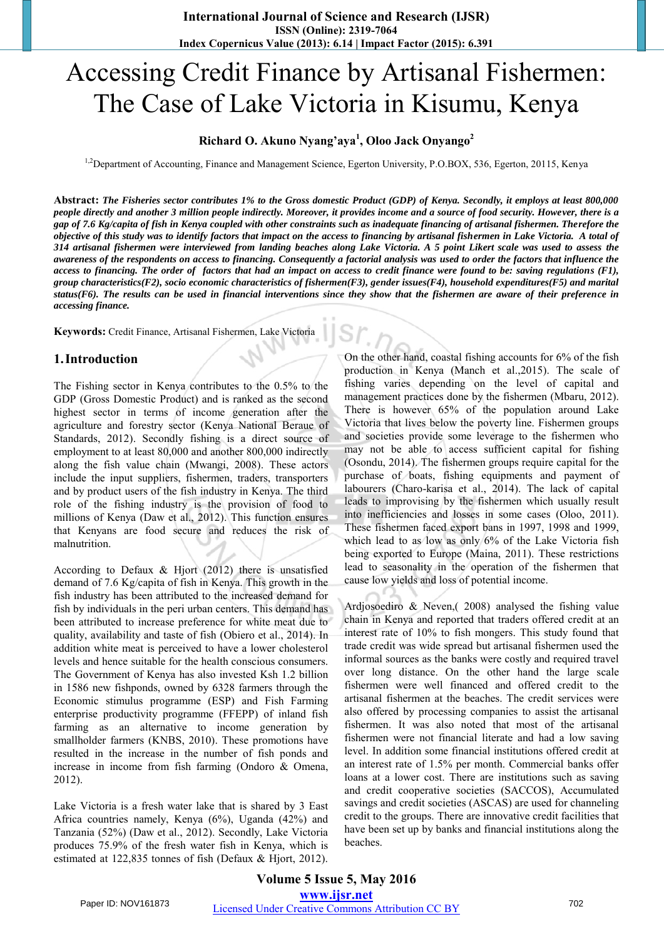# Accessing Credit Finance by Artisanal Fishermen: The Case of Lake Victoria in Kisumu, Kenya

## **Richard O. Akuno Nyang'aya<sup>1</sup> , Oloo Jack Onyango<sup>2</sup>**

<sup>1,2</sup>Department of Accounting, Finance and Management Science, Egerton University, P.O.BOX, 536, Egerton, 20115, Kenya

**Abstract:** *The Fisheries sector contributes 1% to the Gross domestic Product (GDP) of Kenya. Secondly, it employs at least 800,000 people directly and another 3 million people indirectly. Moreover, it provides income and a source of food security. However, there is a gap of 7.6 Kg/capita of fish in Kenya coupled with other constraints such as inadequate financing of artisanal fishermen. Therefore the objective of this study was to identify factors that impact on the access to financing by artisanal fishermen in Lake Victoria. A total of 314 artisanal fishermen were interviewed from landing beaches along Lake Victoria. A 5 point Likert scale was used to assess the awareness of the respondents on access to financing. Consequently a factorial analysis was used to order the factors that influence the access to financing. The order of factors that had an impact on access to credit finance were found to be: saving regulations (F1), group characteristics(F2), socio economic characteristics of fishermen(F3), gender issues(F4), household expenditures(F5) and marital status(F6). The results can be used in financial interventions since they show that the fishermen are aware of their preference in accessing finance.* 

**Keywords:** Credit Finance, Artisanal Fishermen, Lake Victoria

### **1.Introduction**

The Fishing sector in Kenya contributes to the 0.5% to the GDP (Gross Domestic Product) and is ranked as the second highest sector in terms of income generation after the agriculture and forestry sector (Kenya National Beraue of Standards, 2012). Secondly fishing is a direct source of employment to at least 80,000 and another 800,000 indirectly along the fish value chain (Mwangi, 2008). These actors include the input suppliers, fishermen, traders, transporters and by product users of the fish industry in Kenya. The third role of the fishing industry is the provision of food to millions of Kenya (Daw et al., 2012). This function ensures that Kenyans are food secure and reduces the risk of malnutrition.

According to Defaux & Hjort (2012) there is unsatisfied demand of 7.6 Kg/capita of fish in Kenya. This growth in the fish industry has been attributed to the increased demand for fish by individuals in the peri urban centers. This demand has been attributed to increase preference for white meat due to quality, availability and taste of fish (Obiero et al., 2014). In addition white meat is perceived to have a lower cholesterol levels and hence suitable for the health conscious consumers. The Government of Kenya has also invested Ksh 1.2 billion in 1586 new fishponds, owned by 6328 farmers through the Economic stimulus programme (ESP) and Fish Farming enterprise productivity programme (FFEPP) of inland fish farming as an alternative to income generation by smallholder farmers (KNBS, 2010). These promotions have resulted in the increase in the number of fish ponds and increase in income from fish farming (Ondoro & Omena, 2012).

Lake Victoria is a fresh water lake that is shared by 3 East Africa countries namely, Kenya (6%), Uganda (42%) and Tanzania (52%) (Daw et al., 2012). Secondly, Lake Victoria produces 75.9% of the fresh water fish in Kenya, which is estimated at 122,835 tonnes of fish (Defaux & Hjort, 2012).

On the other hand, coastal fishing accounts for 6% of the fish production in Kenya (Manch et al.,2015). The scale of fishing varies depending on the level of capital and management practices done by the fishermen (Mbaru, 2012). There is however 65% of the population around Lake Victoria that lives below the poverty line. Fishermen groups and societies provide some leverage to the fishermen who may not be able to access sufficient capital for fishing (Osondu, 2014). The fishermen groups require capital for the purchase of boats, fishing equipments and payment of labourers (Charo-karisa et al., 2014). The lack of capital leads to improvising by the fishermen which usually result into inefficiencies and losses in some cases (Oloo, 2011). These fishermen faced export bans in 1997, 1998 and 1999, which lead to as low as only 6% of the Lake Victoria fish being exported to Europe (Maina, 2011). These restrictions lead to seasonality in the operation of the fishermen that cause low yields and loss of potential income.

Ardjosoediro & Neven,( 2008) analysed the fishing value chain in Kenya and reported that traders offered credit at an interest rate of 10% to fish mongers. This study found that trade credit was wide spread but artisanal fishermen used the informal sources as the banks were costly and required travel over long distance. On the other hand the large scale fishermen were well financed and offered credit to the artisanal fishermen at the beaches. The credit services were also offered by processing companies to assist the artisanal fishermen. It was also noted that most of the artisanal fishermen were not financial literate and had a low saving level. In addition some financial institutions offered credit at an interest rate of 1.5% per month. Commercial banks offer loans at a lower cost. There are institutions such as saving and credit cooperative societies (SACCOS), Accumulated savings and credit societies (ASCAS) are used for channeling credit to the groups. There are innovative credit facilities that have been set up by banks and financial institutions along the beaches.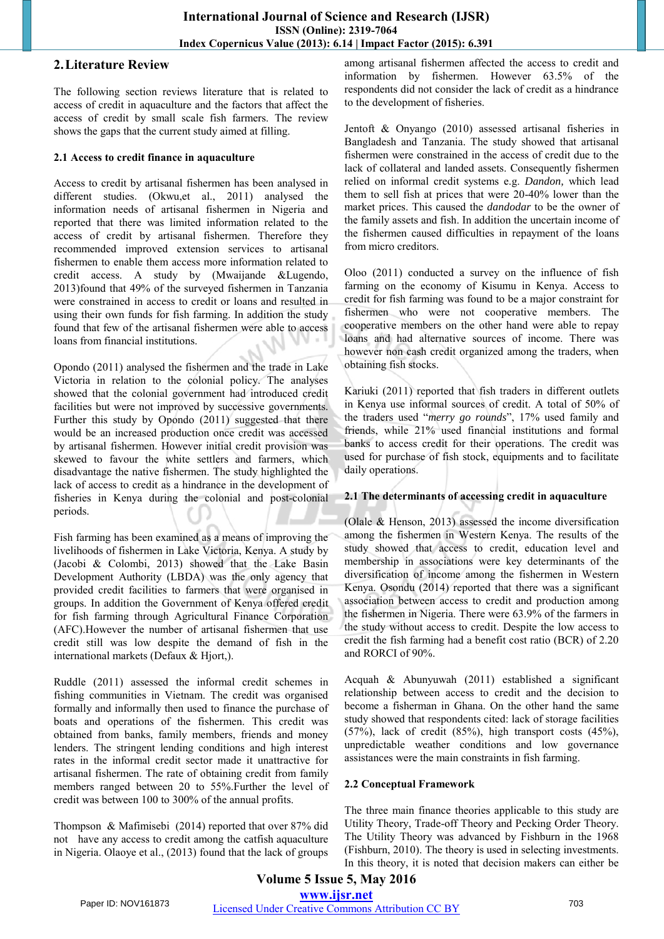# **2.Literature Review**

The following section reviews literature that is related to access of credit in aquaculture and the factors that affect the access of credit by small scale fish farmers. The review shows the gaps that the current study aimed at filling.

#### **2.1 Access to credit finance in aquaculture**

Access to credit by artisanal fishermen has been analysed in different studies. (Okwu,et al., 2011) analysed the information needs of artisanal fishermen in Nigeria and reported that there was limited information related to the access of credit by artisanal fishermen. Therefore they recommended improved extension services to artisanal fishermen to enable them access more information related to credit access. A study by (Mwaijande &Lugendo, 2013)found that 49% of the surveyed fishermen in Tanzania were constrained in access to credit or loans and resulted in using their own funds for fish farming. In addition the study found that few of the artisanal fishermen were able to access loans from financial institutions.

Opondo (2011) analysed the fishermen and the trade in Lake Victoria in relation to the colonial policy. The analyses showed that the colonial government had introduced credit facilities but were not improved by successive governments. Further this study by Opondo (2011) suggested that there would be an increased production once credit was accessed by artisanal fishermen. However initial credit provision was skewed to favour the white settlers and farmers, which disadvantage the native fishermen. The study highlighted the lack of access to credit as a hindrance in the development of fisheries in Kenya during the colonial and post-colonial periods.

Fish farming has been examined as a means of improving the livelihoods of fishermen in Lake Victoria, Kenya. A study by (Jacobi & Colombi, 2013) showed that the Lake Basin Development Authority (LBDA) was the only agency that provided credit facilities to farmers that were organised in groups. In addition the Government of Kenya offered credit for fish farming through Agricultural Finance Corporation (AFC).However the number of artisanal fishermen that use credit still was low despite the demand of fish in the international markets (Defaux & Hjort,).

Ruddle (2011) assessed the informal credit schemes in fishing communities in Vietnam. The credit was organised formally and informally then used to finance the purchase of boats and operations of the fishermen. This credit was obtained from banks, family members, friends and money lenders. The stringent lending conditions and high interest rates in the informal credit sector made it unattractive for artisanal fishermen. The rate of obtaining credit from family members ranged between 20 to 55%.Further the level of credit was between 100 to 300% of the annual profits.

Thompson & Mafimisebi (2014) reported that over 87% did not have any access to credit among the catfish aquaculture in Nigeria. Olaoye et al., (2013) found that the lack of groups among artisanal fishermen affected the access to credit and information by fishermen. However 63.5% of the respondents did not consider the lack of credit as a hindrance to the development of fisheries.

Jentoft & Onyango (2010) assessed artisanal fisheries in Bangladesh and Tanzania. The study showed that artisanal fishermen were constrained in the access of credit due to the lack of collateral and landed assets. Consequently fishermen relied on informal credit systems e.g. *Dandon,* which lead them to sell fish at prices that were 20-40% lower than the market prices. This caused the *dandodar* to be the owner of the family assets and fish. In addition the uncertain income of the fishermen caused difficulties in repayment of the loans from micro creditors.

Oloo (2011) conducted a survey on the influence of fish farming on the economy of Kisumu in Kenya. Access to credit for fish farming was found to be a major constraint for fishermen who were not cooperative members. The cooperative members on the other hand were able to repay loans and had alternative sources of income. There was however non cash credit organized among the traders, when obtaining fish stocks.

Kariuki (2011) reported that fish traders in different outlets in Kenya use informal sources of credit. A total of 50% of the traders used "*merry go rounds*", 17% used family and friends, while 21% used financial institutions and formal banks to access credit for their operations. The credit was used for purchase of fish stock, equipments and to facilitate daily operations.

# **2.1 The determinants of accessing credit in aquaculture**

(Olale & Henson, 2013) assessed the income diversification among the fishermen in Western Kenya. The results of the study showed that access to credit, education level and membership in associations were key determinants of the diversification of income among the fishermen in Western Kenya. Osondu (2014) reported that there was a significant association between access to credit and production among the fishermen in Nigeria. There were 63.9% of the farmers in the study without access to credit. Despite the low access to credit the fish farming had a benefit cost ratio (BCR) of 2.20 and RORCI of 90%.

Acquah & Abunyuwah (2011) established a significant relationship between access to credit and the decision to become a fisherman in Ghana. On the other hand the same study showed that respondents cited: lack of storage facilities  $(57\%)$ , lack of credit  $(85\%)$ , high transport costs  $(45\%)$ , unpredictable weather conditions and low governance assistances were the main constraints in fish farming.

# **2.2 Conceptual Framework**

The three main finance theories applicable to this study are Utility Theory, Trade-off Theory and Pecking Order Theory. The Utility Theory was advanced by Fishburn in the 1968 (Fishburn, 2010). The theory is used in selecting investments. In this theory, it is noted that decision makers can either be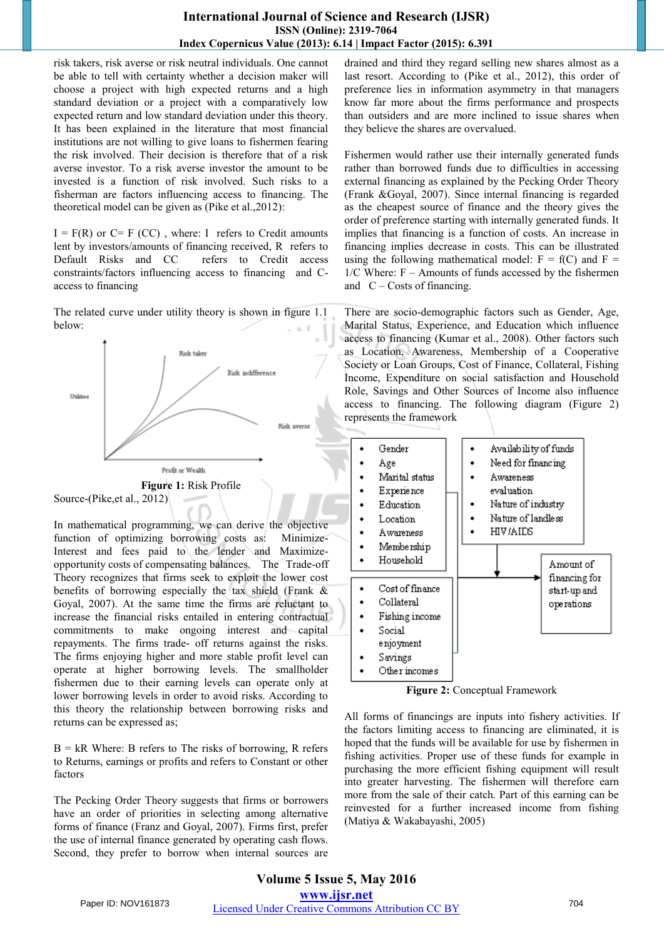### **International Journal of Science and Research (IJSR) ISSN (Online): 2319-7064 Index Copernicus Value (2013): 6.14 | Impact Factor (2015): 6.391**

risk takers, risk averse or risk neutral individuals. One cannot be able to tell with certainty whether a decision maker will choose a project with high expected returns and a high standard deviation or a project with a comparatively low expected return and low standard deviation under this theory. It has been explained in the literature that most financial institutions are not willing to give loans to fishermen fearing the risk involved. Their decision is therefore that of a risk averse investor. To a risk averse investor the amount to be invested is a function of risk involved. Such risks to a fisherman are factors influencing access to financing. The theoretical model can be given as (Pike et al.,2012):

 $I = F(R)$  or  $C = F(CC)$ , where: I refers to Credit amounts lent by investors/amounts of financing received, R refers to Default Risks and CC refers to Credit access constraints/factors influencing access to financing and Caccess to financing

The related curve under utility theory is shown in figure 1.1 below:



In mathematical programming, we can derive the objective function of optimizing borrowing costs as: Minimize-Interest and fees paid to the lender and Maximizeopportunity costs of compensating balances. The Trade-off Theory recognizes that firms seek to exploit the lower cost benefits of borrowing especially the tax shield (Frank & Goyal, 2007). At the same time the firms are reluctant to increase the financial risks entailed in entering contractual commitments to make ongoing interest and capital repayments. The firms trade- off returns against the risks. The firms enjoying higher and more stable profit level can operate at higher borrowing levels. The smallholder fishermen due to their earning levels can operate only at lower borrowing levels in order to avoid risks. According to this theory the relationship between borrowing risks and returns can be expressed as;

 $B = kR$  Where: B refers to The risks of borrowing, R refers to Returns, earnings or profits and refers to Constant or other factors

The Pecking Order Theory suggests that firms or borrowers have an order of priorities in selecting among alternative forms of finance (Franz and Goyal, 2007). Firms first, prefer the use of internal finance generated by operating cash flows. Second, they prefer to borrow when internal sources are

drained and third they regard selling new shares almost as a last resort. According to (Pike et al., 2012), this order of preference lies in information asymmetry in that managers know far more about the firms performance and prospects than outsiders and are more inclined to issue shares when they believe the shares are overvalued.

Fishermen would rather use their internally generated funds rather than borrowed funds due to difficulties in accessing external financing as explained by the Pecking Order Theory (Frank &Goyal, 2007). Since internal financing is regarded as the cheapest source of finance and the theory gives the order of preference starting with internally generated funds. It implies that financing is a function of costs. An increase in financing implies decrease in costs. This can be illustrated using the following mathematical model:  $F = f(C)$  and  $F =$  $1/C$  Where:  $F -$  Amounts of funds accessed by the fishermen and  $C - \text{Costs of financing.}$ 

There are socio-demographic factors such as Gender, Age, Marital Status, Experience, and Education which influence access to financing (Kumar et al., 2008). Other factors such as Location, Awareness, Membership of a Cooperative Society or Loan Groups, Cost of Finance, Collateral, Fishing Income, Expenditure on social satisfaction and Household Role, Savings and Other Sources of Income also influence access to financing. The following diagram (Figure 2) represents the framework



**Figure 2:** Conceptual Framework

All forms of financings are inputs into fishery activities. If the factors limiting access to financing are eliminated, it is hoped that the funds will be available for use by fishermen in fishing activities. Proper use of these funds for example in purchasing the more efficient fishing equipment will result into greater harvesting. The fishermen will therefore earn more from the sale of their catch. Part of this earning can be reinvested for a further increased income from fishing (Matiya & Wakabayashi, 2005)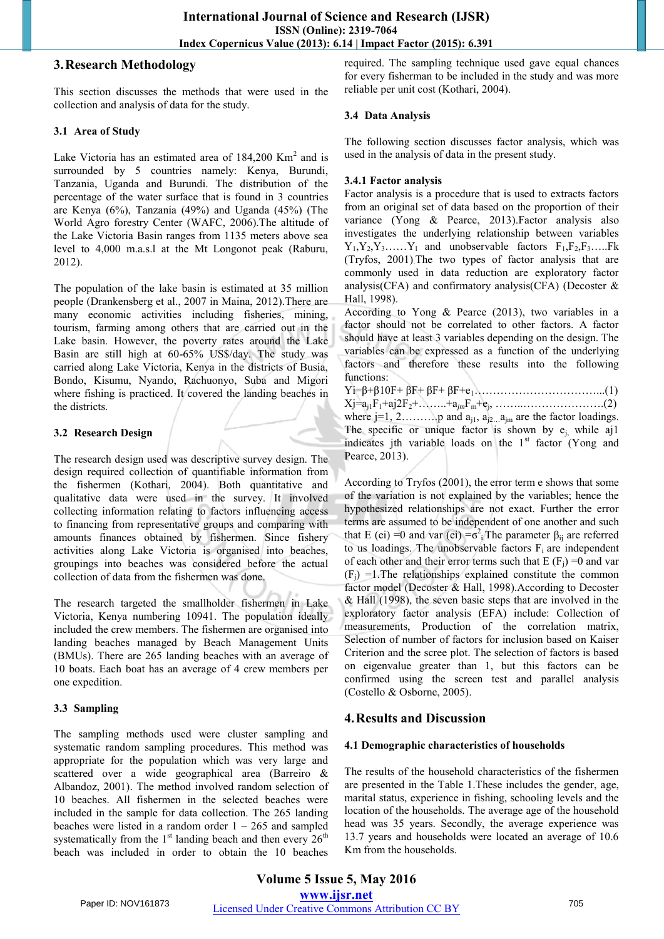## **3.Research Methodology**

This section discusses the methods that were used in the collection and analysis of data for the study.

#### **3.1 Area of Study**

Lake Victoria has an estimated area of  $184,200$  Km<sup>2</sup> and is surrounded by 5 countries namely: Kenya, Burundi, Tanzania, Uganda and Burundi. The distribution of the percentage of the water surface that is found in 3 countries are Kenya (6%), Tanzania (49%) and Uganda (45%) (The World Agro forestry Center (WAFC, 2006).The altitude of the Lake Victoria Basin ranges from 1135 meters above sea level to 4,000 m.a.s.l at the Mt Longonot peak (Raburu, 2012).

The population of the lake basin is estimated at 35 million people (Drankensberg et al., 2007 in Maina, 2012).There are many economic activities including fisheries, mining, tourism, farming among others that are carried out in the Lake basin. However, the poverty rates around the Lake Basin are still high at 60-65% US\$/day. The study was carried along Lake Victoria, Kenya in the districts of Busia, Bondo, Kisumu, Nyando, Rachuonyo, Suba and Migori where fishing is practiced. It covered the landing beaches in the districts.

### **3.2 Research Design**

The research design used was descriptive survey design. The design required collection of quantifiable information from the fishermen (Kothari, 2004). Both quantitative and qualitative data were used in the survey. It involved collecting information relating to factors influencing access to financing from representative groups and comparing with amounts finances obtained by fishermen. Since fishery activities along Lake Victoria is organised into beaches, groupings into beaches was considered before the actual collection of data from the fishermen was done.

The research targeted the smallholder fishermen in Lake Victoria, Kenya numbering 10941. The population ideally included the crew members. The fishermen are organised into landing beaches managed by Beach Management Units (BMUs). There are 265 landing beaches with an average of 10 boats. Each boat has an average of 4 crew members per one expedition.

#### **3.3 Sampling**

The sampling methods used were cluster sampling and systematic random sampling procedures. This method was appropriate for the population which was very large and scattered over a wide geographical area (Barreiro & Albandoz, 2001). The method involved random selection of 10 beaches. All fishermen in the selected beaches were included in the sample for data collection. The 265 landing beaches were listed in a random order  $1 - 265$  and sampled systematically from the  $1<sup>st</sup>$  landing beach and then every  $26<sup>th</sup>$ beach was included in order to obtain the 10 beaches

required. The sampling technique used gave equal chances for every fisherman to be included in the study and was more reliable per unit cost (Kothari, 2004).

#### **3.4 Data Analysis**

The following section discusses factor analysis, which was used in the analysis of data in the present study.

### **3.4.1 Factor analysis**

Factor analysis is a procedure that is used to extracts factors from an original set of data based on the proportion of their variance (Yong & Pearce, 2013).Factor analysis also investigates the underlying relationship between variables  $Y_1, Y_2, Y_3, \ldots, Y_l$  and unobservable factors  $F_1, F_2, F_3, \ldots, F_k$ (Tryfos, 2001). The two types of factor analysis that are commonly used in data reduction are exploratory factor analysis(CFA) and confirmatory analysis(CFA) (Decoster & Hall, 1998).

According to Yong & Pearce (2013), two variables in a factor should not be correlated to other factors. A factor should have at least 3 variables depending on the design. The variables can be expressed as a function of the underlying factors and therefore these results into the following functions:

Yi=β+β10F+ βF+ βF+ βF+e1……………………………...(1)  $Xj = a_{j1}F_1 + aj2F_2 + \ldots + a_{jm}F_m + e_j, \ldots + \ldots + a_{j}G_j$ where  $j=1, 2, \ldots, p$  and  $a_{j1}, a_{j2} \ldots a_{jm}$  are the factor loadings. The specific or unique factor is shown by  $e_i$ , while aj1 indicates jth variable loads on the  $1<sup>st</sup>$  factor (Yong and Pearce, 2013).

According to Tryfos (2001), the error term e shows that some of the variation is not explained by the variables; hence the hypothesized relationships are not exact. Further the error terms are assumed to be independent of one another and such that E (ei) = 0 and var (ei) =  $\sigma^2$ <sup>2</sup> The parameter  $\beta_{ij}$  are referred to us loadings. The unobservable factors  $F_i$  are independent of each other and their error terms such that  $E(F_i) = 0$  and var  $(F_i) = 1$ . The relationships explained constitute the common factor model (Decoster & Hall, 1998).According to Decoster & Hall (1998), the seven basic steps that are involved in the exploratory factor analysis (EFA) include: Collection of measurements, Production of the correlation matrix, Selection of number of factors for inclusion based on Kaiser Criterion and the scree plot. The selection of factors is based on eigenvalue greater than 1, but this factors can be confirmed using the screen test and parallel analysis (Costello & Osborne, 2005).

# **4.Results and Discussion**

#### **4.1 Demographic characteristics of households**

The results of the household characteristics of the fishermen are presented in the Table 1.These includes the gender, age, marital status, experience in fishing, schooling levels and the location of the households. The average age of the household head was 35 years. Secondly, the average experience was 13.7 years and households were located an average of 10.6 Km from the households.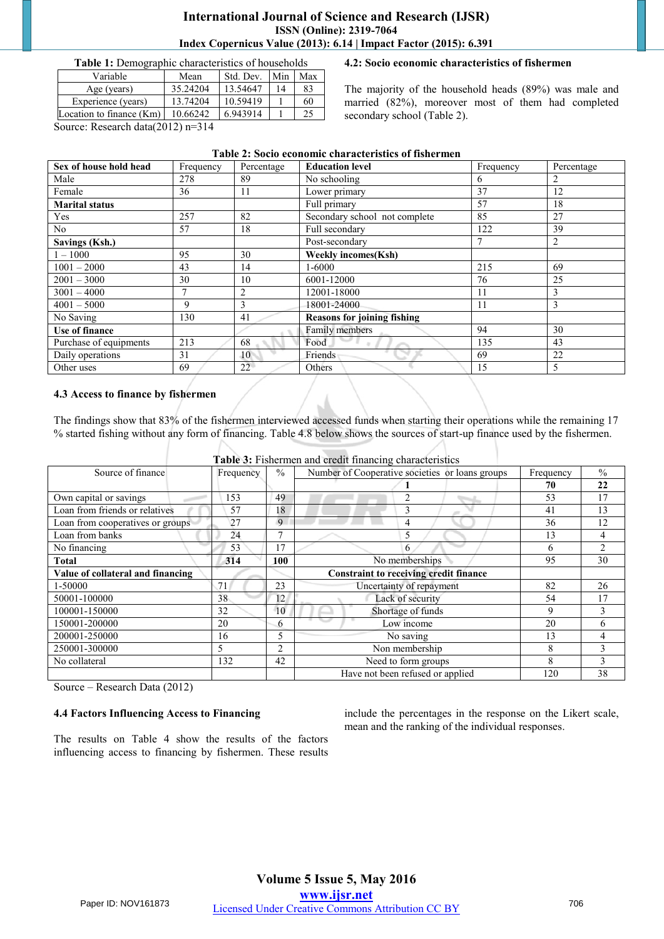#### **International Journal of Science and Research (IJSR) ISSN (Online): 2319-7064 Index Copernicus Value (2013): 6.14 | Impact Factor (2015): 6.391**

**Table 1:** Demographic characteristics of households

| Variable                   | Mean     | Std. Dev. | Min | Max |
|----------------------------|----------|-----------|-----|-----|
| Age (years)                | 35.24204 | 13.54647  | 14  | 83  |
| Experience (years)         | 13.74204 | 10.59419  |     | 60  |
| Location to finance $(Km)$ | 10.66242 | 6.943914  |     | 25  |
|                            |          |           |     |     |

#### **4.2: Socio economic characteristics of fishermen**

The majority of the household heads (89%) was male and married (82%), moreover most of them had completed secondary school (Table 2).

Source: Research data(2012) n=314

| Table 2: Socio economic characteristics of fishermen |           |            |                                    |           |                |
|------------------------------------------------------|-----------|------------|------------------------------------|-----------|----------------|
| Sex of house hold head                               | Frequency | Percentage | <b>Education level</b>             | Frequency | Percentage     |
| Male                                                 | 278       | 89         | No schooling                       | 6         |                |
| Female                                               | 36        | 11         | Lower primary                      | 37        | 12             |
| <b>Marital status</b>                                |           |            | Full primary                       | 57        | 18             |
| Yes                                                  | 257       | 82         | Secondary school not complete      | 85        | 27             |
| N <sub>o</sub>                                       | 57        | 18         | Full secondary                     | 122       | 39             |
| Savings (Ksh.)                                       |           |            | Post-secondary                     | $\tau$    | $\overline{2}$ |
| $1 - 1000$                                           | 95        | 30         | <b>Weekly incomes(Ksh)</b>         |           |                |
| $1001 - 2000$                                        | 43        | 14         | 1-6000                             | 215       | 69             |
| $2001 - 3000$                                        | 30        | 10         | 6001-12000                         | 76        | 25             |
| $3001 - 4000$                                        |           | 2          | 12001-18000                        | 11        | 3              |
| $4001 - 5000$                                        | 9         | 3          | 18001-24000                        | 11        | 3              |
| No Saving                                            | 130       | 41         | <b>Reasons for joining fishing</b> |           |                |
| Use of finance                                       |           |            | Family members                     | 94        | 30             |
| Purchase of equipments                               | 213       | 68         | Food                               | 135       | 43             |
| Daily operations                                     | 31        | 10         | Friends                            | 69        | 22             |
| Other uses                                           | 69        | 22         | Others                             | 15        | 5              |

#### **4.3 Access to finance by fishermen**

The findings show that 83% of the fishermen interviewed accessed funds when starting their operations while the remaining 17 % started fishing without any form of financing. Table 4.8 below shows the sources of start-up finance used by the fishermen.

|                                   |           |                | <b>Table 3:</b> Fishermen and credit financing characteristics |              |                |
|-----------------------------------|-----------|----------------|----------------------------------------------------------------|--------------|----------------|
| Source of finance                 | Frequency | $\frac{0}{0}$  | Number of Cooperative societies or loans groups                | Frequency    | $\frac{0}{0}$  |
|                                   |           |                |                                                                | 70           | 22             |
| Own capital or savings            | 153       | 49             | $\mathfrak{D}$                                                 | 53           | 17             |
| Loan from friends or relatives    | 57        | 18             | 3                                                              | 41           | 13             |
| Loan from cooperatives or groups  | 27        | 9              | $\overline{4}$                                                 | 36           | 12             |
| Loan from banks                   | 24        | 7              | 5                                                              | 13           | 4              |
| No financing                      | 53        | 17             | 6                                                              | <sub>6</sub> | $\overline{c}$ |
| <b>Total</b>                      | 314       | 100            | No memberships                                                 | 95           | 30             |
| Value of collateral and financing |           |                | <b>Constraint to receiving credit finance</b>                  |              |                |
|                                   |           |                |                                                                |              |                |
| 1-50000                           | 71        | 23             | Uncertainty of repayment                                       | 82           | 26             |
| 50001-100000                      | 38        | 12             | Lack of security                                               | 54           | 17             |
| 100001-150000                     | 32        | 10             | Shortage of funds                                              | 9            | $\mathbf{3}$   |
| 150001-200000                     | 20        | 6              | Low income                                                     | 20           | 6              |
| 200001-250000                     | 16        | 5              | No saving                                                      | 13           | 4              |
| 250001-300000                     | 5         | $\overline{2}$ | Non membership                                                 | 8            | $\mathbf{3}$   |
| No collateral                     | 132       | 42             | Need to form groups                                            | 8            | 3              |

**Table 3:** Fishermen and credit financing characteristics

Source – Research Data (2012)

#### **4.4 Factors Influencing Access to Financing**

The results on Table 4 show the results of the factors influencing access to financing by fishermen. These results

include the percentages in the response on the Likert scale, mean and the ranking of the individual responses.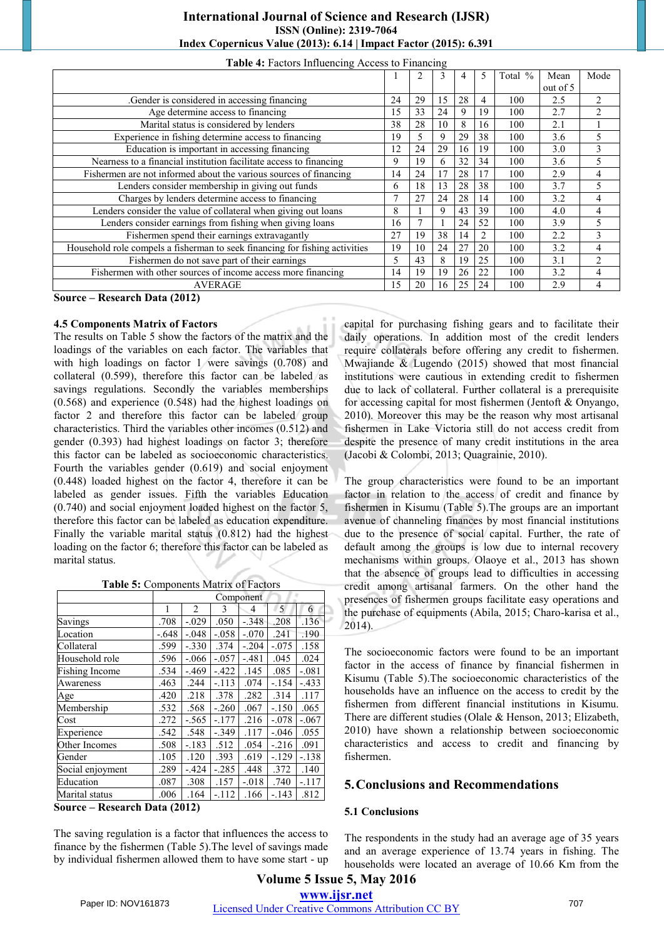| <b>International Journal of Science and Research (IJSR)</b>       |
|-------------------------------------------------------------------|
| <b>ISSN</b> (Online): 2319-7064                                   |
| Index Copernicus Value (2013): 6.14   Impact Factor (2015): 6.391 |

|                                                                                 |    | $\overline{2}$ | 3  | 4  | 5  | Total % | Mean     | Mode           |
|---------------------------------------------------------------------------------|----|----------------|----|----|----|---------|----------|----------------|
|                                                                                 |    |                |    |    |    |         | out of 5 |                |
| Gender is considered in accessing financing.                                    | 24 | 29             | 15 | 28 | 4  | 100     | 2.5      | 2              |
| Age determine access to financing                                               | 15 | 33             | 24 | 9  | 19 | 100     | 2.7      | 2              |
| Marital status is considered by lenders                                         | 38 | 28             | 10 | 8  | 16 | 100     | 2.1      |                |
| Experience in fishing determine access to financing                             | 19 | 5              | 9  | 29 | 38 | 100     | 3.6      |                |
| Education is important in accessing financing                                   | 12 | 24             | 29 | 16 | 19 | 100     | 3.0      | 3              |
| Nearness to a financial institution facilitate access to financing              | 9  | 19             | 6  | 32 | 34 | 100     | 3.6      | 5              |
| Fishermen are not informed about the various sources of financing               | 14 | 24             | 17 | 28 | 17 | 100     | 2.9      | 4              |
| Lenders consider membership in giving out funds                                 | 6  | 18             | 13 | 28 | 38 | 100     | 3.7      | 5              |
| Charges by lenders determine access to financing                                | 7  | 27             | 24 | 28 | 14 | 100     | 3.2      | 4              |
| Lenders consider the value of collateral when giving out loans                  | 8  |                | 9  | 43 | 39 | 100     | 4.0      | 4              |
| Lenders consider earnings from fishing when giving loans                        | 16 |                |    | 24 | 52 | 100     | 3.9      | 5              |
| Fishermen spend their earnings extravagantly                                    | 27 | 19             | 38 | 14 | 2  | 100     | 2.2      | 3              |
| Household role compels a fisherman to seek financing for fishing activities     | 19 | 10             | 24 | 27 | 20 | 100     | 3.2      | 4              |
| Fishermen do not save part of their earnings                                    | 5  | 43             | 8  | 19 | 25 | 100     | 3.1      | $\overline{2}$ |
| Fishermen with other sources of income access more financing                    | 14 | 19             | 19 | 26 | 22 | 100     | 3.2      | 4              |
| <b>AVERAGE</b>                                                                  | 15 | 20             | 16 | 25 | 24 | 100     | 2.9      | 4              |
| $\sim$<br>$\blacksquare$<br>$\mathbf{1}$ $\mathbf{R}$ $\mathbf{A}$ $\mathbf{A}$ |    |                |    |    |    |         |          |                |

#### **Table 4:** Factors Influencing Access to Financing

**Source – Research Data (2012)** 

#### **4.5 Components Matrix of Factors**

The results on Table 5 show the factors of the matrix and the loadings of the variables on each factor. The variables that with high loadings on factor 1 were savings (0.708) and collateral (0.599), therefore this factor can be labeled as savings regulations. Secondly the variables memberships (0.568) and experience (0.548) had the highest loadings on factor 2 and therefore this factor can be labeled group characteristics. Third the variables other incomes (0.512) and gender (0.393) had highest loadings on factor 3; therefore this factor can be labeled as socioeconomic characteristics. Fourth the variables gender (0.619) and social enjoyment (0.448) loaded highest on the factor 4, therefore it can be labeled as gender issues. Fifth the variables Education (0.740) and social enjoyment loaded highest on the factor 5, therefore this factor can be labeled as education expenditure. Finally the variable marital status (0.812) had the highest loading on the factor 6; therefore this factor can be labeled as marital status.

**Table 5:** Components Matrix of Factors

|                  | Component |                |         |         |         |         |
|------------------|-----------|----------------|---------|---------|---------|---------|
|                  | 1         | $\overline{c}$ | 3       | 4       | 5       | 6       |
| Savings          | .708      | $-.029$        | .050    | $-.348$ | .208    | .136    |
| Location         | $-.648$   | $-.048$        | $-.058$ | $-.070$ | .241    | .190    |
| Collateral       | .599      | $-.330$        | .374    | $-.204$ | $-.075$ | .158    |
| Household role   | .596      | $-.066$        | $-.057$ | $-.481$ | .045    | .024    |
| Fishing Income   | .534      | $-.469$        | $-.422$ | .145    | .085    | $-.081$ |
| Awareness        | .463      | .244           | $-.113$ | .074    | $-.154$ | $-.433$ |
| Age              | .420      | .218           | .378    | .282    | .314    | .117    |
| Membership       | .532      | .568           | $-.260$ | .067    | $-.150$ | .065    |
| Cost             | .272      | $-.565$        | $-.177$ | .216    | $-.078$ | $-.067$ |
| Experience       | .542      | .548           | $-.349$ | .117    | $-.046$ | .055    |
| Other Incomes    | .508      | $-.183$        | .512    | .054    | $-.216$ | .091    |
| Gender           | .105      | .120           | .393    | .619    | $-.129$ | $-.138$ |
| Social enjoyment | .289      | $-.424$        | $-.285$ | .448    | .372    | .140    |
| Education        | .087      | .308           | .157    | $-.018$ | .740    | $-.117$ |
| Marital status   | .006      | .164           | $-.112$ | .166    | $-.143$ | .812    |

**Source – Research Data (2012)** 

The saving regulation is a factor that influences the access to finance by the fishermen (Table 5).The level of savings made by individual fishermen allowed them to have some start - up capital for purchasing fishing gears and to facilitate their daily operations. In addition most of the credit lenders require collaterals before offering any credit to fishermen. Mwajiande & Lugendo (2015) showed that most financial institutions were cautious in extending credit to fishermen due to lack of collateral. Further collateral is a prerequisite for accessing capital for most fishermen (Jentoft & Onyango, 2010). Moreover this may be the reason why most artisanal fishermen in Lake Victoria still do not access credit from despite the presence of many credit institutions in the area (Jacobi & Colombi, 2013; Quagrainie, 2010).

The group characteristics were found to be an important factor in relation to the access of credit and finance by fishermen in Kisumu (Table 5).The groups are an important avenue of channeling finances by most financial institutions due to the presence of social capital. Further, the rate of default among the groups is low due to internal recovery mechanisms within groups. Olaoye et al., 2013 has shown that the absence of groups lead to difficulties in accessing credit among artisanal farmers. On the other hand the presences of fishermen groups facilitate easy operations and the purchase of equipments (Abila, 2015; Charo-karisa et al., 2014).

The socioeconomic factors were found to be an important factor in the access of finance by financial fishermen in Kisumu (Table 5).The socioeconomic characteristics of the households have an influence on the access to credit by the fishermen from different financial institutions in Kisumu. There are different studies (Olale & Henson, 2013; Elizabeth, 2010) have shown a relationship between socioeconomic characteristics and access to credit and financing by fishermen.

#### **5.Conclusions and Recommendations**

#### **5.1 Conclusions**

The respondents in the study had an average age of 35 years and an average experience of 13.74 years in fishing. The households were located an average of 10.66 Km from the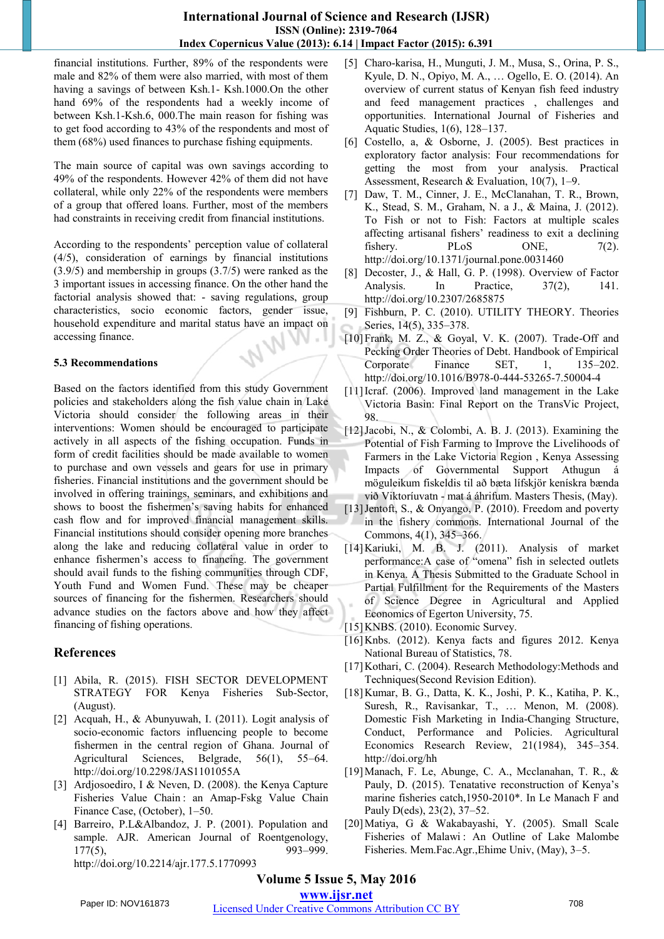#### **International Journal of Science and Research (IJSR) ISSN (Online): 2319-7064 Index Copernicus Value (2013): 6.14 | Impact Factor (2015): 6.391**

financial institutions. Further, 89% of the respondents were male and 82% of them were also married, with most of them having a savings of between Ksh.1- Ksh.1000.On the other hand 69% of the respondents had a weekly income of between Ksh.1-Ksh.6, 000.The main reason for fishing was to get food according to 43% of the respondents and most of them (68%) used finances to purchase fishing equipments.

The main source of capital was own savings according to 49% of the respondents. However 42% of them did not have collateral, while only 22% of the respondents were members of a group that offered loans. Further, most of the members had constraints in receiving credit from financial institutions.

According to the respondents' perception value of collateral (4/5), consideration of earnings by financial institutions (3.9/5) and membership in groups (3.7/5) were ranked as the 3 important issues in accessing finance. On the other hand the factorial analysis showed that: - saving regulations, group characteristics, socio economic factors, gender issue, household expenditure and marital status have an impact on accessing finance. - 1

#### **5.3 Recommendations**

Based on the factors identified from this study Government policies and stakeholders along the fish value chain in Lake Victoria should consider the following areas in their interventions: Women should be encouraged to participate actively in all aspects of the fishing occupation. Funds in form of credit facilities should be made available to women to purchase and own vessels and gears for use in primary fisheries. Financial institutions and the government should be involved in offering trainings, seminars, and exhibitions and shows to boost the fishermen's saving habits for enhanced cash flow and for improved financial management skills. Financial institutions should consider opening more branches along the lake and reducing collateral value in order to enhance fishermen's access to financing. The government should avail funds to the fishing communities through CDF, Youth Fund and Women Fund. These may be cheaper sources of financing for the fishermen. Researchers should advance studies on the factors above and how they affect financing of fishing operations.

# **References**

- [1] Abila, R. (2015). FISH SECTOR DEVELOPMENT STRATEGY FOR Kenya Fisheries Sub-Sector, (August).
- [2] Acquah, H., & Abunyuwah, I. (2011). Logit analysis of socio-economic factors influencing people to become fishermen in the central region of Ghana. Journal of Agricultural Sciences, Belgrade, 56(1), 55–64. http://doi.org/10.2298/JAS1101055A
- [3] Ardjosoediro, I & Neven, D. (2008). the Kenya Capture Fisheries Value Chain : an Amap-Fskg Value Chain Finance Case, (October), 1–50.
- [4] Barreiro, P.L&Albandoz, J. P. (2001). Population and sample. AJR. American Journal of Roentgenology, 177(5), 993–999. http://doi.org/10.2214/ajr.177.5.1770993
- [5] Charo-karisa, H., Munguti, J. M., Musa, S., Orina, P. S., Kyule, D. N., Opiyo, M. A., … Ogello, E. O. (2014). An overview of current status of Kenyan fish feed industry and feed management practices , challenges and opportunities. International Journal of Fisheries and Aquatic Studies, 1(6), 128–137.
- [6] Costello, a, & Osborne, J. (2005). Best practices in exploratory factor analysis: Four recommendations for getting the most from your analysis. Practical Assessment, Research & Evaluation, 10(7), 1–9.
- [7] Daw, T. M., Cinner, J. E., McClanahan, T. R., Brown, K., Stead, S. M., Graham, N. a J., & Maina, J. (2012). To Fish or not to Fish: Factors at multiple scales affecting artisanal fishers' readiness to exit a declining fishery. PLoS ONE,  $7(2)$ . http://doi.org/10.1371/journal.pone.0031460
- [8] Decoster, J., & Hall, G. P. (1998). Overview of Factor Analysis. In Practice, 37(2), 141. http://doi.org/10.2307/2685875
- [9] Fishburn, P. C. (2010). UTILITY THEORY. Theories Series, 14(5), 335–378.
- [10]Frank, M. Z., & Goyal, V. K. (2007). Trade-Off and Pecking Order Theories of Debt. Handbook of Empirical Corporate Finance SET, 1, 135–202. http://doi.org/10.1016/B978-0-444-53265-7.50004-4
- [11]Icraf. (2006). Improved land management in the Lake Victoria Basin: Final Report on the TransVic Project, 98.
- [12] Jacobi, N., & Colombi, A. B. J. (2013). Examining the Potential of Fish Farming to Improve the Livelihoods of Farmers in the Lake Victoria Region , Kenya Assessing Impacts of Governmental Support Athugun á möguleikum fiskeldis til að bæta lífskjör kenískra bænda við Viktoríuvatn - mat á áhrifum. Masters Thesis, (May).
- [13] Jentoft, S., & Onyango, P. (2010). Freedom and poverty in the fishery commons. International Journal of the Commons, 4(1), 345–366.
- [14] Kariuki, M. B. J. (2011). Analysis of market performance:A case of "omena" fish in selected outlets in Kenya. A Thesis Submitted to the Graduate School in Partial Fulfillment for the Requirements of the Masters of Science Degree in Agricultural and Applied Economics of Egerton University, 75.
- [15] KNBS. (2010). Economic Survey.
- [16]Knbs. (2012). Kenya facts and figures 2012. Kenya National Bureau of Statistics, 78.
- [17] Kothari, C. (2004). Research Methodology: Methods and Techniques(Second Revision Edition).
- [18]Kumar, B. G., Datta, K. K., Joshi, P. K., Katiha, P. K., Suresh, R., Ravisankar, T., … Menon, M. (2008). Domestic Fish Marketing in India-Changing Structure, Conduct, Performance and Policies. Agricultural Economics Research Review, 21(1984), 345–354. http://doi.org/hh
- [19]Manach, F. Le, Abunge, C. A., Mcclanahan, T. R., & Pauly, D. (2015). Tenatative reconstruction of Kenya's marine fisheries catch,1950-2010\*. In Le Manach F and Pauly D(eds), 23(2), 37–52.
- [20]Matiya, G & Wakabayashi, Y. (2005). Small Scale Fisheries of Malawi : An Outline of Lake Malombe Fisheries. Mem.Fac.Agr.,Ehime Univ, (May), 3–5.

# **Volume 5 Issue 5, May 2016**

**www.ijsr.net**